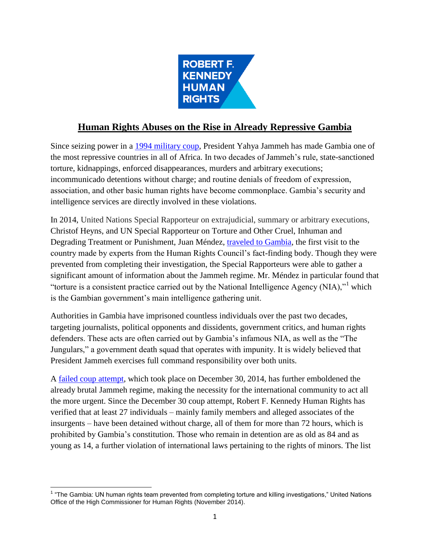

# **Human Rights Abuses on the Rise in Already Repressive Gambia**

Since seizing power in a [1994 military coup,](http://www.nytimes.com/1994/08/28/world/in-gambia-new-coup-follows-old-pattern.html) President Yahya Jammeh has made Gambia one of the most repressive countries in all of Africa. In two decades of Jammeh's rule, state-sanctioned torture, kidnappings, enforced disappearances, murders and arbitrary executions; incommunicado detentions without charge; and routine denials of freedom of expression, association, and other basic human rights have become commonplace. Gambia's security and intelligence services are directly involved in these violations.

In 2014, United Nations Special Rapporteur on extrajudicial, summary or arbitrary executions, Christof Heyns, and UN Special Rapporteur on Torture and Other Cruel, Inhuman and Degrading Treatment or Punishment, Juan Méndez, [traveled to Gambia,](http://www.ohchr.org/EN/NewsEvents/Pages/DisplayNews.aspx?NewsID=15267&LangID=E) the first visit to the country made by experts from the Human Rights Council's fact-finding body. Though they were prevented from completing their investigation, the Special Rapporteurs were able to gather a significant amount of information about the Jammeh regime. Mr. Méndez in particular found that "torture is a consistent practice carried out by the National Intelligence Agency (NIA), $"^1$  which is the Gambian government's main intelligence gathering unit.

Authorities in Gambia have imprisoned countless individuals over the past two decades, targeting journalists, political opponents and dissidents, government critics, and human rights defenders. These acts are often carried out by Gambia's infamous NIA, as well as the "The Jungulars," a government death squad that operates with impunity. It is widely believed that President Jammeh exercises full command responsibility over both units.

A failed [coup attempt,](https://news.vice.com/article/gambian-ex-soldiers-attempted-a-coup-while-president-yahya-jammeh-was-out-of-town) which took place on December 30, 2014, has further emboldened the already brutal Jammeh regime, making the necessity for the international community to act all the more urgent. Since the December 30 coup attempt, Robert F. Kennedy Human Rights has verified that at least 27 individuals – mainly family members and alleged associates of the insurgents – have been detained without charge, all of them for more than 72 hours, which is prohibited by Gambia's constitution. Those who remain in detention are as old as 84 and as young as 14, a further violation of international laws pertaining to the rights of minors. The list

 1 "The Gambia: UN human rights team prevented from completing torture and killing investigations," United Nations Office of the High Commissioner for Human Rights (November 2014).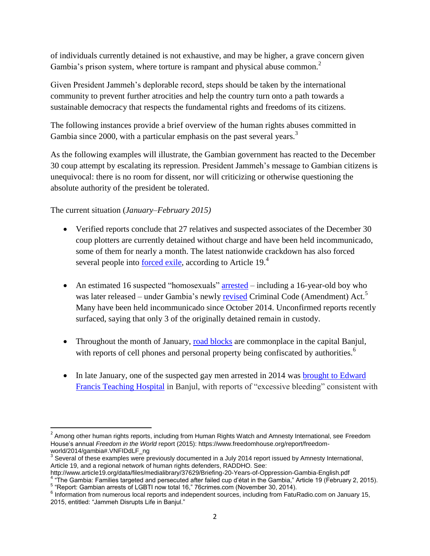of individuals currently detained is not exhaustive, and may be higher, a grave concern given Gambia's prison system, where torture is rampant and physical abuse common.<sup>2</sup>

Given President Jammeh's deplorable record, steps should be taken by the international community to prevent further atrocities and help the country turn onto a path towards a sustainable democracy that respects the fundamental rights and freedoms of its citizens.

The following instances provide a brief overview of the human rights abuses committed in Gambia since 2000, with a particular emphasis on the past several years.<sup>3</sup>

As the following examples will illustrate, the Gambian government has reacted to the December 30 coup attempt by escalating its repression. President Jammeh's message to Gambian citizens is unequivocal: there is no room for dissent, nor will criticizing or otherwise questioning the absolute authority of the president be tolerated.

The current situation (*January–February 2015)*

l

- Verified reports conclude that 27 relatives and suspected associates of the December 30 coup plotters are currently detained without charge and have been held incommunicado, some of them for nearly a month. The latest nationwide crackdown has also forced several people into **forced exile**, according to Article 19.<sup>4</sup>
- An estimated 16 suspected "homosexuals" [arrested](http://76crimes.com/2014/11/30/report-gambian-arrests-of-alleged-lgbti-now-total-16/) including a 16-year-old boy who was later released – under Gambia's newly [revised](http://www.hrw.org/sites/default/files/related_material/Gambia%20Criminal%20Code%20Act%202014.pdf) Criminal Code (Amendment) Act.<sup>5</sup> Many have been held incommunicado since October 2014. Unconfirmed reports recently surfaced, saying that only 3 of the originally detained remain in custody.
- Throughout the month of January, [road blocks](http://www.faturadio.com/index.php?option=com_k2&view=item&id=480:jammeh-distrups-life-in-banjul-and-the-houston-press-put-the-obama-administration-and-justice-department-to-task) are commonplace in the capital Banjul, with reports of cell phones and personal property being confiscated by authorities.<sup>6</sup>
- In late January, one of the suspected gay men arrested in 2014 was brought to Edward [Francis Teaching Hospital](http://www.buzzfeed.com/lesterfeder/witness-reports-man-accused-of-homosexuality-in-the-gambia-t#.ytdO20eqle) in Banjul, with reports of "excessive bleeding" consistent with

<sup>&</sup>lt;sup>2</sup> Among other human rights reports, including from Human Rights Watch and Amnesty International, see Freedom House's annual *Freedom in the World* report (2015): https://www.freedomhouse.org/report/freedomworld/2014/gambia#.VNFIDdLF\_ng

 $3$  Several of these examples were previously documented in a July 2014 report issued by Amnesty International, Article 19, and a regional network of human rights defenders, RADDHO. See:

http://www.article19.org/data/files/medialibrary/37629/Briefing-20-Years-of-Oppression-Gambia-English.pdf

<sup>&</sup>lt;sup>4</sup> "The Gambia: Families targeted and persecuted after failed cup d'état in the Gambia," Article 19 (February 2, 2015). <sup>5</sup> "Report: Gambian arrests of LGBTI now total 16," 76crimes.com (November 30, 2014).

 $6$  Information from numerous local reports and independent sources, including from FatuRadio.com on January 15, 2015, entitled: "Jammeh Disrupts Life in Banjul."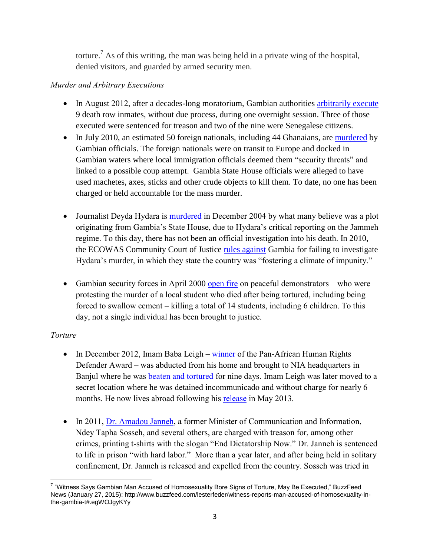torture.<sup>7</sup> As of this writing, the man was being held in a private wing of the hospital, denied visitors, and guarded by armed security men.

# *Murder and Arbitrary Executions*

- In August 2012, after a decades-long moratorium, Gambian authorities [arbitrarily execute](http://www.theguardian.com/world/2012/aug/25/gambia-executes-nine-prisoners) 9 death row inmates, without due process, during one overnight session. Three of those executed were sentenced for treason and two of the nine were Senegalese citizens.
- In July 2010, an estimated 50 foreign nationals, including 44 Ghanaians, are [murdered](http://www.ghanaweb.com/GhanaHomePage/diaspora/artikel.php?ID=110360) by Gambian officials. The foreign nationals were on transit to Europe and docked in Gambian waters where local immigration officials deemed them "security threats" and linked to a possible coup attempt. Gambia State House officials were alleged to have used machetes, axes, sticks and other crude objects to kill them. To date, no one has been charged or held accountable for the mass murder.
- Journalist Deyda Hydara is [murdered](http://allafrica.com/stories/201412160507.html) in December 2004 by what many believe was a plot originating from Gambia's State House, due to Hydara's critical reporting on the Jammeh regime. To this day, there has not been an official investigation into his death. In 2010, the ECOWAS Community Court of Justice [rules against](https://cpj.org/2014/06/ecowas-court-rules-gambia-failed-to-investigate-jo.php#more) Gambia for failing to investigate Hydara's murder, in which they state the country was "fostering a climate of impunity."
- Gambian security forces in April 2000 [open fire](http://www.ouestaf.com/gambia/m/April-2000-Horrible-Month-Impunity-in-14-Protesters-Murder-Case_a87.html) on peaceful demonstrators who were protesting the murder of a local student who died after being tortured, including being forced to swallow cement – killing a total of 14 students, including 6 children. To this day, not a single individual has been brought to justice.

# *Torture*

- In December 2012, Imam Baba Leigh [winner](http://www.frontlinedefenders.org/node/24078) of the Pan-African Human Rights Defender Award – was abducted from his home and brought to NIA headquarters in Banjul where he was [beaten and tortured](http://www.ibtimes.co.uk/imam-baba-leigh-persecuted-gambia-state-amnesty-519728) for nine days. Imam Leigh was later moved to a secret location where he was detained incommunicado and without charge for nearly 6 months. He now lives abroad following his [release](http://www.amnesty.org/en/news/activist-freed-journalist-still-missing-gambia-2013-05-14) in May 2013.
- In 2011, [Dr. Amadou Janneh,](http://www.foxnews.com/world/2012/09/18/american-prisoners-set-to-leave-gambia/) a former Minister of Communication and Information, Ndey Tapha Sosseh, and several others, are charged with treason for, among other crimes, printing t-shirts with the slogan "End Dictatorship Now." Dr. Janneh is sentenced to life in prison "with hard labor." More than a year later, and after being held in solitary confinement, Dr. Janneh is released and expelled from the country. Sosseh was tried in

 7 "Witness Says Gambian Man Accused of Homosexuality Bore Signs of Torture, May Be Executed," BuzzFeed News (January 27, 2015): http://www.buzzfeed.com/lesterfeder/witness-reports-man-accused-of-homosexuality-inthe-gambia-t#.egWOJgyKYy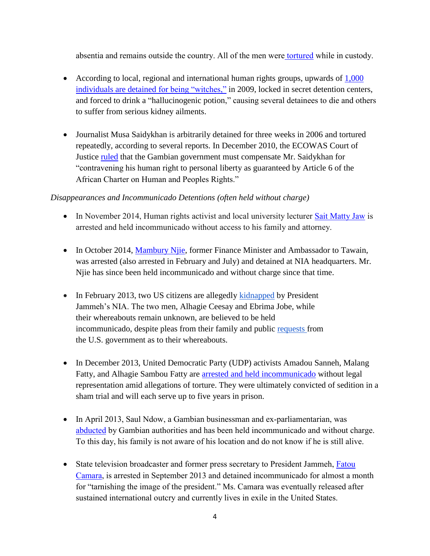absentia and remains outside the country. All of the men were [tortured](http://www.freedomnewspaper.com/Homepage/tabid/36/mid/367/newsid367/8061/BREAKING-NEWS-DR-AMADOU-SCATTERED-JANNEH-IS-DETERMINED-TO-UPROOT-JAMMEH-LIKE-A-CASSAVA-PLANT-/Default.aspx) while in custody.

- According to local, regional and international human rights groups, upwards of 1,000 [individuals are detained for being "witches,"](http://www.cnn.com/2009/WORLD/africa/03/18/gambia.amnesty.witchcraft/) in 2009, locked in secret detention centers, and forced to drink a "hallucinogenic potion," causing several detainees to die and others to suffer from serious kidney ailments.
- Journalist Musa Saidykhan is arbitrarily detained for three weeks in 2006 and tortured repeatedly, according to several reports. In December 2010, the ECOWAS Court of Justice [ruled](http://www.thenigerianvoice.com/nvnews/41251/1/ecowas-court-awards-n30m-to-detained-journalist.html) that the Gambian government must compensate Mr. Saidykhan for "contravening his human right to personal liberty as guaranteed by Article 6 of the African Charter on Human and Peoples Rights."

## *Disappearances and Incommunicado Detentions (often held without charge)*

- In November 2014, Human rights activist and local university lecturer [Sait Matty Jaw](http://advocacy.globalvoicesonline.org/2014/11/13/update-gambian-blogger-released-as-outrage-escalates/) is arrested and held incommunicado without access to his family and attorney.
- In October 2014, [Mambury Njie,](http://allafrica.com/stories/201403070844.html) former Finance Minister and Ambassador to Tawain, was arrested (also arrested in February and July) and detained at NIA headquarters. Mr. Njie has since been held incommunicado and without charge since that time.
- In February 2013, two US citizens are allegedly [kidnapped](http://www.huffingtonpost.com/jim-moore/two-americans-disappear-i_b_4850904.html) by President Jammeh's NIA. The two men, Alhagie Ceesay and Ebrima Jobe, while their whereabouts remain unknown, are believed to be held incommunicado, despite pleas from their family and public [requests](http://banjul.usembassy.gov/news-events/mising-us-citizen.html) from the U.S. government as to their whereabouts.
- In December 2013, United Democratic Party (UDP) activists Amadou Sanneh, Malang Fatty, and Alhagie Sambou Fatty are [arrested and held incommunicado](http://www.amnesty.org/en/news/gambia-must-immediately-release-three-opposition-members-convicted-sedition-2013-12-18) without legal representation amid allegations of torture. They were ultimately convicted of sedition in a sham trial and will each serve up to five years in prison.
- In April 2013, Saul Ndow, a Gambian businessman and ex-parliamentarian, was [abducted](http://www.thepetitionsite.com/912/575/944/release-them-or-charge-them-break-the-silence/) by Gambian authorities and has been held incommunicado and without charge. To this day, his family is not aware of his location and do not know if he is still alive.
- State television broadcaster and former press secretary to President Jammeh, Fatou [Camara,](http://www.bbc.com/news/world-africa-24828059) is arrested in September 2013 and detained incommunicado for almost a month for "tarnishing the image of the president." Ms. Camara was eventually released after sustained international outcry and currently lives in exile in the United States.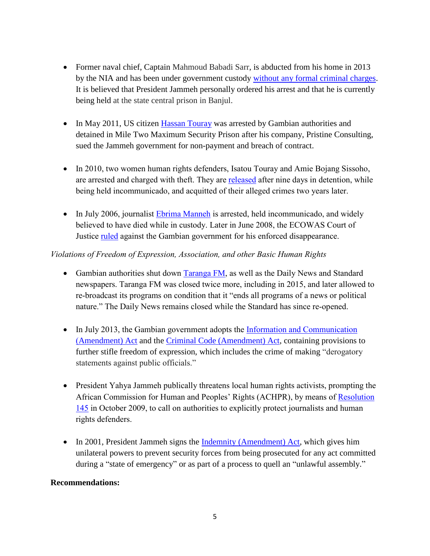- Former naval chief, Captain Mahmoud Babadi Sarr, is abducted from his home in 2013 by the NIA and has been under government custody [without any formal criminal charges.](http://www.parliament.uk/edm/2012-13/1213) It is believed that President Jammeh personally ordered his arrest and that he is currently being held at the state central prison in Banjul.
- In May 2011, US citizen *Hassan Touray* was arrested by Gambian authorities and detained in Mile Two Maximum Security Prison after his company, Pristine Consulting, sued the Jammeh government for non-payment and breach of [contract.](http://issuu.com/musatouray/docs/agreement-with_gog?mode=a_p)
- In 2010, two women human rights defenders, Isatou Touray and Amie Bojang Sissoho, are arrested and charged with theft. They are [released](http://www.frontlinedefenders.org/node/20777) after nine days in detention, while being held incommunicado, and acquitted of their alleged crimes two years later.
- In July 2006, journalist [Ebrima Manneh](http://www.amnestyusa.org/our-work/cases/gambia-ebrima-manneh) is arrested, held incommunicado, and widely believed to have died while in custody. Later in June 2008, the ECOWAS Court of Justice [ruled](http://www.pambazuka.net/en/category/media/48863) against the Gambian government for his enforced disappearance.

### *Violations of Freedom of Expression, Association, and other Basic Human Rights*

- Gambian authorities shut down [Taranga FM,](https://cpj.org/2015/01/gambia-radio-station-censored-director-harassed-af.php) as well as the Daily News and Standard newspapers. Taranga FM was closed twice more, including in 2015, and later allowed to re-broadcast its programs on condition that it "ends all programs of a news or political nature." The Daily News remains closed while the Standard has since re-opened.
- In July 2013, the Gambian government adopts the Information and Communication ([Amendment\) Act](http://www.article19.org/resources.php/resource/37152/en/the-gambia:--new-internet-law-furthers-government-crackdown-on-free-expression) and the [Criminal Code \(Amendment\) Act,](http://america.aljazeera.com/articles/2014/9/10/gambia-antigay-law.html) containing provisions to further stifle freedom of expression, which includes the crime of making "derogatory statements against public officials."
- President Yahya Jammeh publically threatens local human rights activists, prompting the African Commission for Human and Peoples' Rights (ACHPR), by means of [Resolution](http://www.achpr.org/states/gambia/)  [145](http://www.achpr.org/states/gambia/) in October 2009, to call on authorities to explicitly protect journalists and human rights defenders.
- In 2001, President Jammeh signs the [Indemnity \(Amendment\) Act,](http://www.state.gov/j/drl/rls/hrrpt/2002/18205.htm) which gives him unilateral powers to prevent security forces from being prosecuted for any act committed during a "state of emergency" or as part of a process to quell an "unlawful assembly."

### **Recommendations:**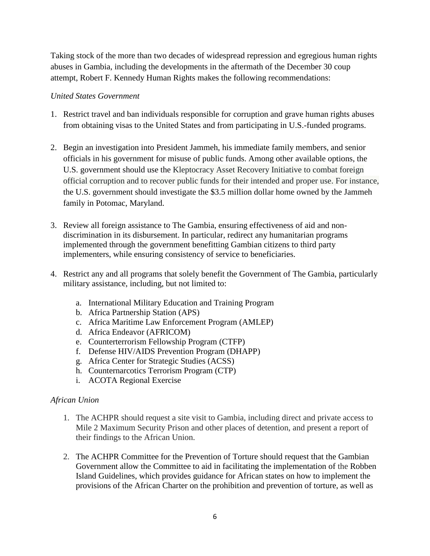Taking stock of the more than two decades of widespread repression and egregious human rights abuses in Gambia, including the developments in the aftermath of the December 30 coup attempt, Robert F. Kennedy Human Rights makes the following recommendations:

#### *United States Government*

- 1. Restrict travel and ban individuals responsible for corruption and grave human rights abuses from obtaining visas to the United States and from participating in U.S.-funded programs.
- 2. Begin an investigation into President Jammeh, his immediate family members, and senior officials in his government for misuse of public funds. Among other available options, the U.S. government should use the Kleptocracy Asset Recovery Initiative to combat foreign official corruption and to recover public funds for their intended and proper use. For instance, the U.S. government should investigate the \$3.5 million dollar home owned by the Jammeh family in Potomac, Maryland.
- 3. Review all foreign assistance to The Gambia, ensuring effectiveness of aid and nondiscrimination in its disbursement. In particular, redirect any humanitarian programs implemented through the government benefitting Gambian citizens to third party implementers, while ensuring consistency of service to beneficiaries.
- 4. Restrict any and all programs that solely benefit the Government of The Gambia, particularly military assistance, including, but not limited to:
	- a. International Military Education and Training Program
	- b. Africa Partnership Station (APS)
	- c. Africa Maritime Law Enforcement Program (AMLEP)
	- d. Africa Endeavor (AFRICOM)
	- e. Counterterrorism Fellowship Program (CTFP)
	- f. Defense HIV/AIDS Prevention Program (DHAPP)
	- g. Africa Center for Strategic Studies (ACSS)
	- h. Counternarcotics Terrorism Program (CTP)
	- i. ACOTA Regional Exercise

#### *African Union*

- 1. The ACHPR should request a site visit to Gambia, including direct and private access to Mile 2 Maximum Security Prison and other places of detention, and present a report of their findings to the African Union.
- 2. The ACHPR Committee for the Prevention of Torture should request that the Gambian Government allow the Committee to aid in facilitating the implementation of the Robben Island Guidelines, which provides guidance for African states on how to implement the provisions of the African Charter on the prohibition and prevention of torture, as well as